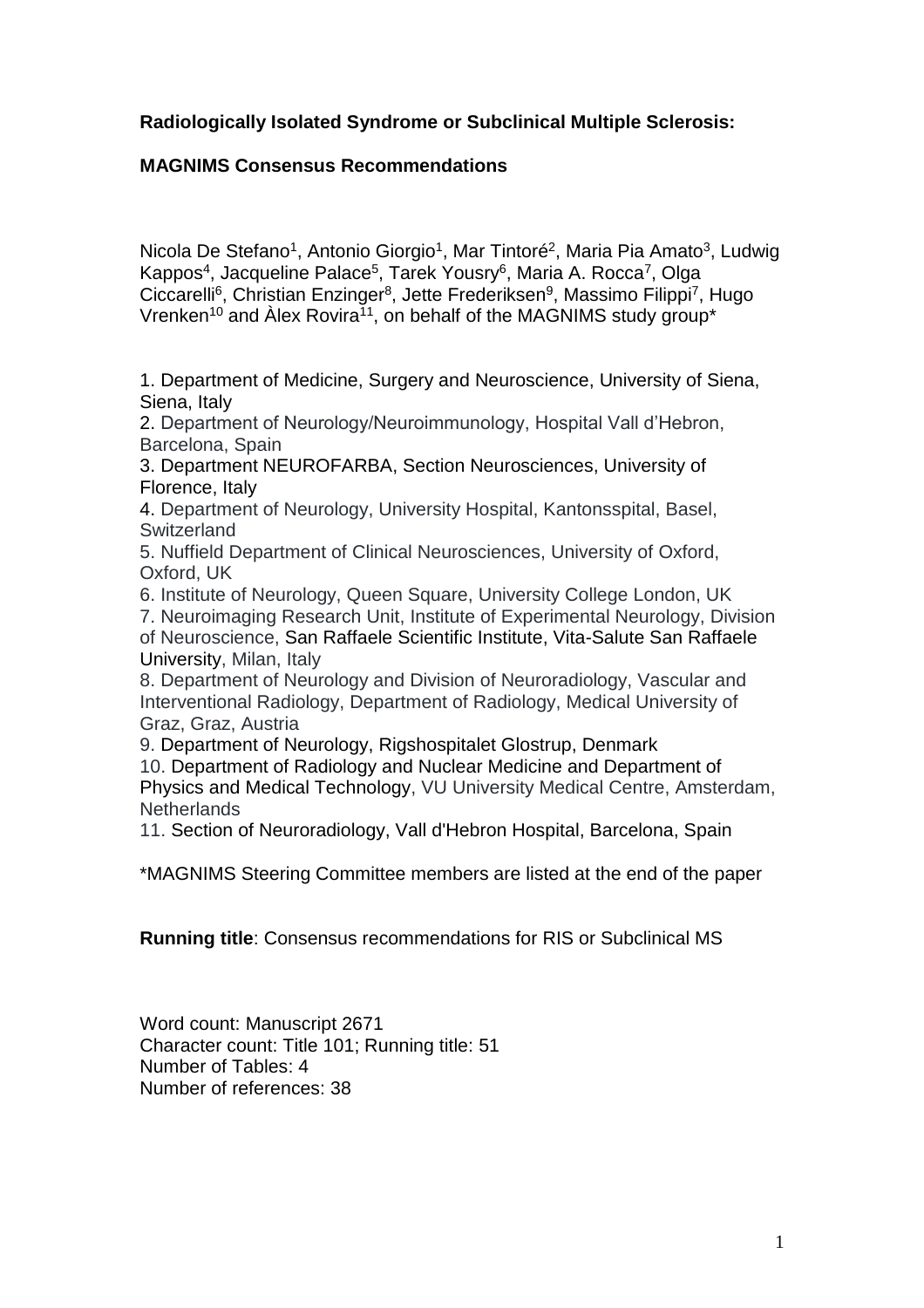# **Radiologically Isolated Syndrome or Subclinical Multiple Sclerosis:**

## **MAGNIMS Consensus Recommendations**

Nicola De Stefano<sup>1</sup>, Antonio Giorgio<sup>1</sup>, Mar Tintoré<sup>2</sup>, Maria Pia Amato<sup>3</sup>, Ludwig Kappos<sup>4</sup>, Jacqueline Palace<sup>5</sup>, Tarek Yousry<sup>6</sup>, Maria A. Rocca<sup>7</sup>, Olga Ciccarelli<sup>6</sup>, Christian Enzinger<sup>8</sup>, Jette Frederiksen<sup>9</sup>, Massimo Filippi<sup>7</sup>, Hugo Vrenken $^{10}$  and Alex Rovira $^{11}$ , on behalf of the MAGNIMS study group\*

1. Department of Medicine, Surgery and Neuroscience, University of Siena, Siena, Italy

2. Department of Neurology/Neuroimmunology, Hospital Vall d'Hebron, Barcelona, Spain

3. Department NEUROFARBA, Section Neurosciences, University of Florence, Italy

4. Department of Neurology, University Hospital, Kantonsspital, Basel, **Switzerland** 

5. Nuffield Department of Clinical Neurosciences, University of Oxford, Oxford, UK

6. Institute of Neurology, Queen Square, University College London, UK

7. Neuroimaging Research Unit, Institute of Experimental Neurology, Division of Neuroscience, San Raffaele Scientific Institute, Vita-Salute San Raffaele University, Milan, Italy

8. Department of Neurology and Division of Neuroradiology, Vascular and Interventional Radiology, Department of Radiology, Medical University of Graz, Graz, Austria

9. Department of Neurology, Rigshospitalet Glostrup, Denmark

10. Department of Radiology and Nuclear Medicine and Department of Physics and Medical Technology, VU University Medical Centre, Amsterdam, **Netherlands** 

11. Section of Neuroradiology, Vall d'Hebron Hospital, Barcelona, Spain

\*MAGNIMS Steering Committee members are listed at the end of the paper

**Running title**: Consensus recommendations for RIS or Subclinical MS

Word count: Manuscript 2671 Character count: Title 101; Running title: 51 Number of Tables: 4 Number of references: 38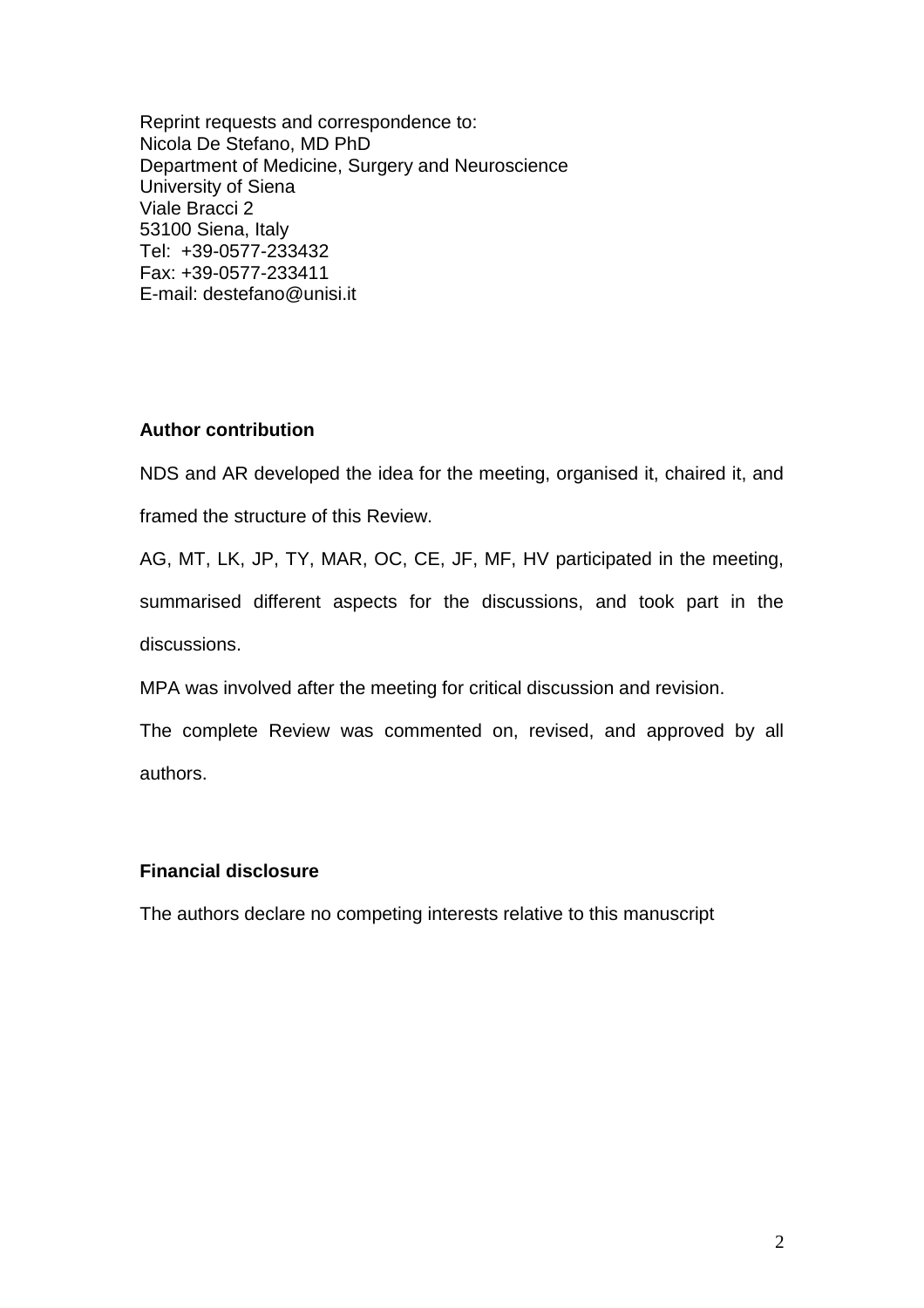Reprint requests and correspondence to: Nicola De Stefano, MD PhD Department of Medicine, Surgery and Neuroscience University of Siena Viale Bracci 2 53100 Siena, Italy Tel: +39-0577-233432 Fax: +39-0577-233411 E-mail: destefano@unisi.it

#### **Author contribution**

NDS and AR developed the idea for the meeting, organised it, chaired it, and framed the structure of this Review.

AG, MT, LK, JP, TY, MAR, OC, CE, JF, MF, HV participated in the meeting, summarised different aspects for the discussions, and took part in the discussions.

MPA was involved after the meeting for critical discussion and revision.

The complete Review was commented on, revised, and approved by all authors.

### **Financial disclosure**

The authors declare no competing interests relative to this manuscript